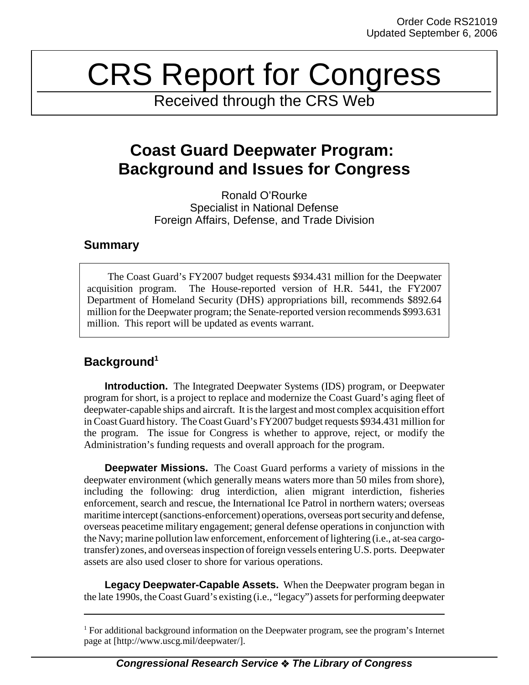# CRS Report for Congress

Received through the CRS Web

# **Coast Guard Deepwater Program: Background and Issues for Congress**

Ronald O'Rourke Specialist in National Defense Foreign Affairs, Defense, and Trade Division

### **Summary**

The Coast Guard's FY2007 budget requests \$934.431 million for the Deepwater acquisition program. The House-reported version of H.R. 5441, the FY2007 Department of Homeland Security (DHS) appropriations bill, recommends \$892.64 million for the Deepwater program; the Senate-reported version recommends \$993.631 million. This report will be updated as events warrant.

## **Background1**

**Introduction.** The Integrated Deepwater Systems (IDS) program, or Deepwater program for short, is a project to replace and modernize the Coast Guard's aging fleet of deepwater-capable ships and aircraft. It is the largest and most complex acquisition effort in Coast Guard history. The Coast Guard's FY2007 budget requests \$934.431 million for the program. The issue for Congress is whether to approve, reject, or modify the Administration's funding requests and overall approach for the program.

**Deepwater Missions.** The Coast Guard performs a variety of missions in the deepwater environment (which generally means waters more than 50 miles from shore), including the following: drug interdiction, alien migrant interdiction, fisheries enforcement, search and rescue, the International Ice Patrol in northern waters; overseas maritime intercept (sanctions-enforcement) operations, overseas port security and defense, overseas peacetime military engagement; general defense operations in conjunction with the Navy; marine pollution law enforcement, enforcement of lightering (i.e., at-sea cargotransfer) zones, and overseas inspection of foreign vessels entering U.S. ports. Deepwater assets are also used closer to shore for various operations.

**Legacy Deepwater-Capable Assets.** When the Deepwater program began in the late 1990s, the Coast Guard's existing (i.e., "legacy") assets for performing deepwater

<sup>&</sup>lt;sup>1</sup> For additional background information on the Deepwater program, see the program's Internet page at [http://www.uscg.mil/deepwater/].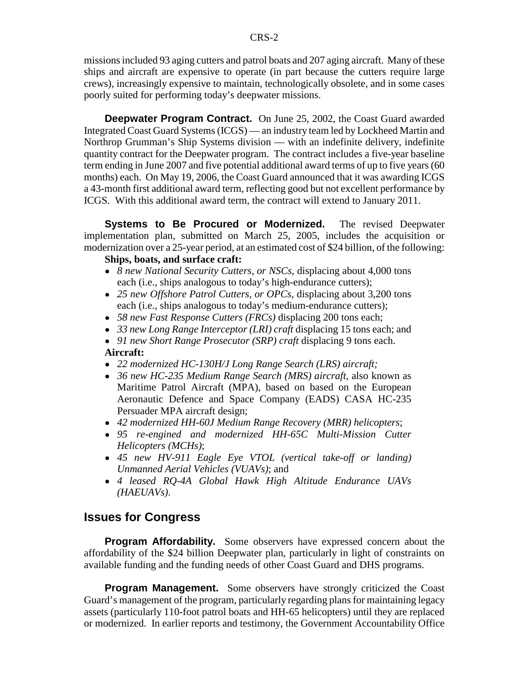missions included 93 aging cutters and patrol boats and 207 aging aircraft. Many of these ships and aircraft are expensive to operate (in part because the cutters require large crews), increasingly expensive to maintain, technologically obsolete, and in some cases poorly suited for performing today's deepwater missions.

**Deepwater Program Contract.** On June 25, 2002, the Coast Guard awarded Integrated Coast Guard Systems (ICGS) — an industry team led by Lockheed Martin and Northrop Grumman's Ship Systems division — with an indefinite delivery, indefinite quantity contract for the Deepwater program. The contract includes a five-year baseline term ending in June 2007 and five potential additional award terms of up to five years (60 months) each. On May 19, 2006, the Coast Guard announced that it was awarding ICGS a 43-month first additional award term, reflecting good but not excellent performance by ICGS. With this additional award term, the contract will extend to January 2011.

**Systems to Be Procured or Modernized.** The revised Deepwater implementation plan, submitted on March 25, 2005, includes the acquisition or modernization over a 25-year period, at an estimated cost of \$24 billion, of the following:

#### **Ships, boats, and surface craft:**

- ! *8 new National Security Cutters, or NSCs*, displacing about 4,000 tons each (i.e., ships analogous to today's high-endurance cutters);
- ! *25 new Offshore Patrol Cutters, or OPCs*, displacing about 3,200 tons each (i.e., ships analogous to today's medium-endurance cutters);
- ! *58 new Fast Response Cutters (FRCs)* displacing 200 tons each;
- ! *33 new Long Range Interceptor (LRI) craft* displacing 15 tons each; and
- ! *91 new Short Range Prosecutor (SRP) craft* displacing 9 tons each. **Aircraft:**
- ! *22 modernized HC-130H/J Long Range Search (LRS) aircraft;*
- ! *36 new HC-235 Medium Range Search (MRS) aircraft*, also known as Maritime Patrol Aircraft (MPA), based on based on the European Aeronautic Defence and Space Company (EADS) CASA HC-235 Persuader MPA aircraft design;
- ! *42 modernized HH-60J Medium Range Recovery (MRR) helicopters*;
- ! *95 re-engined and modernized HH-65C Multi-Mission Cutter Helicopters (MCHs)*;
- ! *45 new HV-911 Eagle Eye VTOL (vertical take-off or landing) Unmanned Aerial Vehicles (VUAVs)*; and
- ! *4 leased RQ-4A Global Hawk High Altitude Endurance UAVs (HAEUAVs)*.

#### **Issues for Congress**

**Program Affordability.** Some observers have expressed concern about the affordability of the \$24 billion Deepwater plan, particularly in light of constraints on available funding and the funding needs of other Coast Guard and DHS programs.

**Program Management.** Some observers have strongly criticized the Coast Guard's management of the program, particularly regarding plans for maintaining legacy assets (particularly 110-foot patrol boats and HH-65 helicopters) until they are replaced or modernized. In earlier reports and testimony, the Government Accountability Office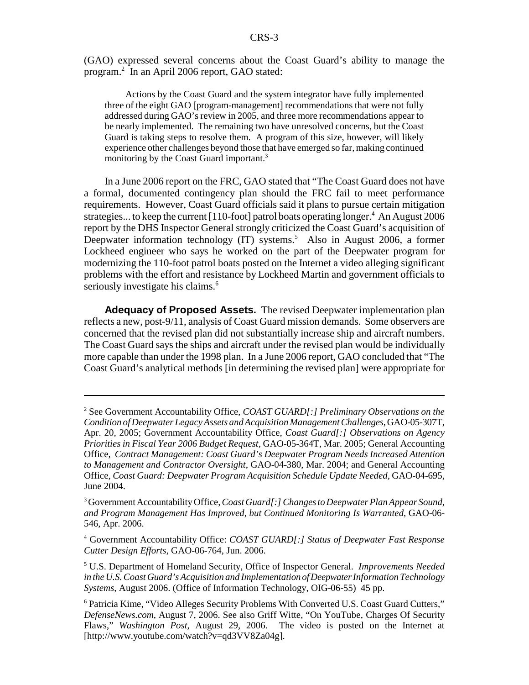(GAO) expressed several concerns about the Coast Guard's ability to manage the program.2 In an April 2006 report, GAO stated:

Actions by the Coast Guard and the system integrator have fully implemented three of the eight GAO [program-management] recommendations that were not fully addressed during GAO's review in 2005, and three more recommendations appear to be nearly implemented. The remaining two have unresolved concerns, but the Coast Guard is taking steps to resolve them. A program of this size, however, will likely experience other challenges beyond those that have emerged so far, making continued monitoring by the Coast Guard important.<sup>3</sup>

In a June 2006 report on the FRC, GAO stated that "The Coast Guard does not have a formal, documented contingency plan should the FRC fail to meet performance requirements. However, Coast Guard officials said it plans to pursue certain mitigation strategies... to keep the current [110-foot] patrol boats operating longer.<sup>4</sup> An August 2006 report by the DHS Inspector General strongly criticized the Coast Guard's acquisition of Deepwater information technology (IT) systems.<sup>5</sup> Also in August 2006, a former Lockheed engineer who says he worked on the part of the Deepwater program for modernizing the 110-foot patrol boats posted on the Internet a video alleging significant problems with the effort and resistance by Lockheed Martin and government officials to seriously investigate his claims.<sup>6</sup>

**Adequacy of Proposed Assets.** The revised Deepwater implementation plan reflects a new, post-9/11, analysis of Coast Guard mission demands. Some observers are concerned that the revised plan did not substantially increase ship and aircraft numbers. The Coast Guard says the ships and aircraft under the revised plan would be individually more capable than under the 1998 plan. In a June 2006 report, GAO concluded that "The Coast Guard's analytical methods [in determining the revised plan] were appropriate for

4 Government Accountability Office: *COAST GUARD[:] Status of Deepwater Fast Response Cutter Design Efforts*, GAO-06-764, Jun. 2006.

5 U.S. Department of Homeland Security, Office of Inspector General. *Improvements Needed in the U.S. Coast Guard's Acquisition and Implementation of Deepwater Information Technology Systems*, August 2006. (Office of Information Technology, OIG-06-55) 45 pp.

<sup>2</sup> See Government Accountability Office, *COAST GUARD[:] Preliminary Observations on the Condition of Deepwater Legacy Assets and Acquisition Management Challenges*, GAO-05-307T, Apr. 20, 2005; Government Accountability Office, *Coast Guard[:] Observations on Agency Priorities in Fiscal Year 2006 Budget Request*, GAO-05-364T, Mar. 2005; General Accounting Office, *Contract Management: Coast Guard's Deepwater Program Needs Increased Attention to Management and Contractor Oversight*, GAO-04-380, Mar. 2004; and General Accounting Office, *Coast Guard: Deepwater Program Acquisition Schedule Update Needed*, GAO-04-695, June 2004.

<sup>3</sup> Government Accountability Office, *Coast Guard[:] Changes to Deepwater Plan Appear Sound, and Program Management Has Improved, but Continued Monitoring Is Warranted*, GAO-06- 546, Apr. 2006.

<sup>&</sup>lt;sup>6</sup> Patricia Kime, "Video Alleges Security Problems With Converted U.S. Coast Guard Cutters," *DefenseNews.com*, August 7, 2006. See also Griff Witte, "On YouTube, Charges Of Security Flaws," *Washington Post*, August 29, 2006. The video is posted on the Internet at [http://www.youtube.com/watch?v=qd3VV8Za04g].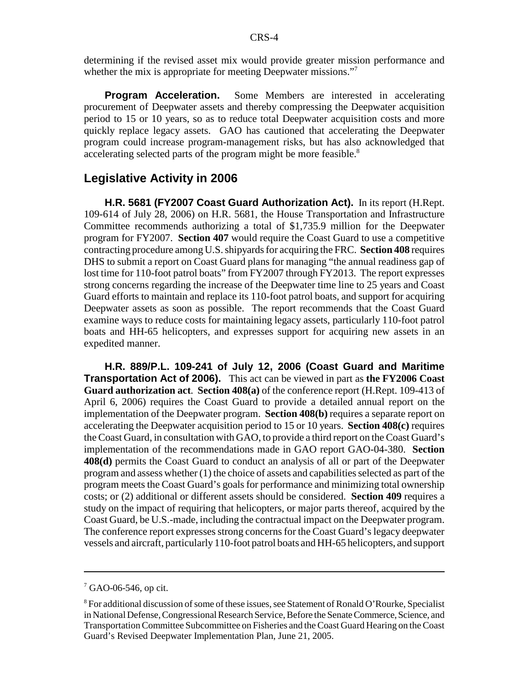determining if the revised asset mix would provide greater mission performance and whether the mix is appropriate for meeting Deepwater missions."<sup>7</sup>

**Program Acceleration.** Some Members are interested in accelerating procurement of Deepwater assets and thereby compressing the Deepwater acquisition period to 15 or 10 years, so as to reduce total Deepwater acquisition costs and more quickly replace legacy assets. GAO has cautioned that accelerating the Deepwater program could increase program-management risks, but has also acknowledged that accelerating selected parts of the program might be more feasible.<sup>8</sup>

#### **Legislative Activity in 2006**

**H.R. 5681 (FY2007 Coast Guard Authorization Act).** In its report (H.Rept. 109-614 of July 28, 2006) on H.R. 5681, the House Transportation and Infrastructure Committee recommends authorizing a total of \$1,735.9 million for the Deepwater program for FY2007. **Section 407** would require the Coast Guard to use a competitive contracting procedure among U.S. shipyards for acquiring the FRC. **Section 408** requires DHS to submit a report on Coast Guard plans for managing "the annual readiness gap of lost time for 110-foot patrol boats" from FY2007 through FY2013. The report expresses strong concerns regarding the increase of the Deepwater time line to 25 years and Coast Guard efforts to maintain and replace its 110-foot patrol boats, and support for acquiring Deepwater assets as soon as possible. The report recommends that the Coast Guard examine ways to reduce costs for maintaining legacy assets, particularly 110-foot patrol boats and HH-65 helicopters, and expresses support for acquiring new assets in an expedited manner.

**H.R. 889/P.L. 109-241 of July 12, 2006 (Coast Guard and Maritime Transportation Act of 2006).** This act can be viewed in part as **the FY2006 Coast Guard authorization act**. **Section 408(a)** of the conference report (H.Rept. 109-413 of April 6, 2006) requires the Coast Guard to provide a detailed annual report on the implementation of the Deepwater program. **Section 408(b)** requires a separate report on accelerating the Deepwater acquisition period to 15 or 10 years. **Section 408(c)** requires the Coast Guard, in consultation with GAO, to provide a third report on the Coast Guard's implementation of the recommendations made in GAO report GAO-04-380. **Section 408(d)** permits the Coast Guard to conduct an analysis of all or part of the Deepwater program and assess whether (1) the choice of assets and capabilities selected as part of the program meets the Coast Guard's goals for performance and minimizing total ownership costs; or (2) additional or different assets should be considered. **Section 409** requires a study on the impact of requiring that helicopters, or major parts thereof, acquired by the Coast Guard, be U.S.-made, including the contractual impact on the Deepwater program. The conference report expresses strong concerns for the Coast Guard's legacy deepwater vessels and aircraft, particularly 110-foot patrol boats and HH-65 helicopters, and support

<sup>7</sup> GAO-06-546, op cit.

 $8$  For additional discussion of some of these issues, see Statement of Ronald O'Rourke, Specialist in National Defense, Congressional Research Service, Before the Senate Commerce, Science, and Transportation Committee Subcommittee on Fisheries and the Coast Guard Hearing on the Coast Guard's Revised Deepwater Implementation Plan, June 21, 2005.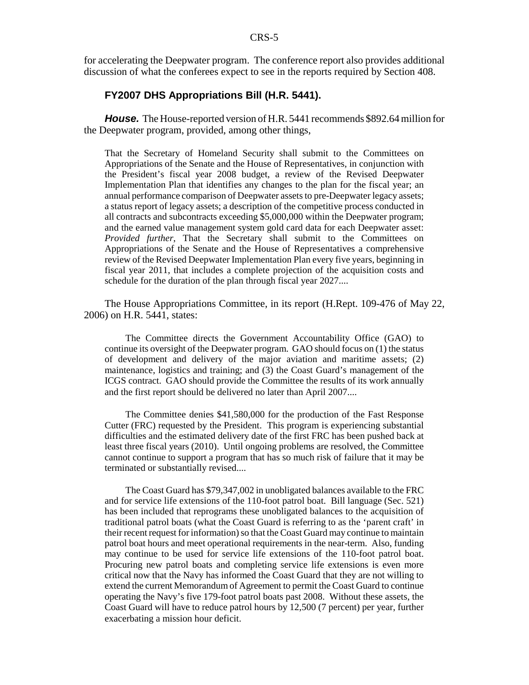for accelerating the Deepwater program. The conference report also provides additional discussion of what the conferees expect to see in the reports required by Section 408.

#### **FY2007 DHS Appropriations Bill (H.R. 5441).**

*House.* The House-reported version of H.R. 5441 recommends \$892.64 million for the Deepwater program, provided, among other things,

That the Secretary of Homeland Security shall submit to the Committees on Appropriations of the Senate and the House of Representatives, in conjunction with the President's fiscal year 2008 budget, a review of the Revised Deepwater Implementation Plan that identifies any changes to the plan for the fiscal year; an annual performance comparison of Deepwater assets to pre-Deepwater legacy assets; a status report of legacy assets; a description of the competitive process conducted in all contracts and subcontracts exceeding \$5,000,000 within the Deepwater program; and the earned value management system gold card data for each Deepwater asset: *Provided further*, That the Secretary shall submit to the Committees on Appropriations of the Senate and the House of Representatives a comprehensive review of the Revised Deepwater Implementation Plan every five years, beginning in fiscal year 2011, that includes a complete projection of the acquisition costs and schedule for the duration of the plan through fiscal year 2027....

The House Appropriations Committee, in its report (H.Rept. 109-476 of May 22, 2006) on H.R. 5441, states:

The Committee directs the Government Accountability Office (GAO) to continue its oversight of the Deepwater program. GAO should focus on (1) the status of development and delivery of the major aviation and maritime assets; (2) maintenance, logistics and training; and (3) the Coast Guard's management of the ICGS contract. GAO should provide the Committee the results of its work annually and the first report should be delivered no later than April 2007....

The Committee denies \$41,580,000 for the production of the Fast Response Cutter (FRC) requested by the President. This program is experiencing substantial difficulties and the estimated delivery date of the first FRC has been pushed back at least three fiscal years (2010). Until ongoing problems are resolved, the Committee cannot continue to support a program that has so much risk of failure that it may be terminated or substantially revised....

The Coast Guard has \$79,347,002 in unobligated balances available to the FRC and for service life extensions of the 110-foot patrol boat. Bill language (Sec. 521) has been included that reprograms these unobligated balances to the acquisition of traditional patrol boats (what the Coast Guard is referring to as the 'parent craft' in their recent request for information) so that the Coast Guard may continue to maintain patrol boat hours and meet operational requirements in the near-term. Also, funding may continue to be used for service life extensions of the 110-foot patrol boat. Procuring new patrol boats and completing service life extensions is even more critical now that the Navy has informed the Coast Guard that they are not willing to extend the current Memorandum of Agreement to permit the Coast Guard to continue operating the Navy's five 179-foot patrol boats past 2008. Without these assets, the Coast Guard will have to reduce patrol hours by 12,500 (7 percent) per year, further exacerbating a mission hour deficit.